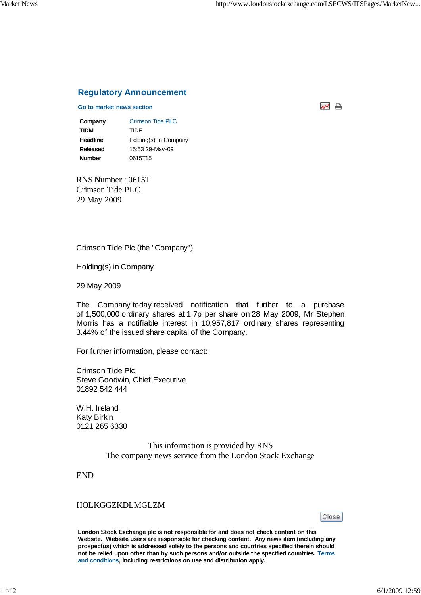## **Regulatory Announcement**

## **Go to market news section**

처 남

**Company** Crimson Tide PLC **TIDM** TIDE **Headline** Holding(s) in Company **Released** 15:53 29-May-09 **Number** 0615T15

RNS Number : 0615T Crimson Tide PLC 29 May 2009

Crimson Tide Plc (the "Company")

Holding(s) in Company

29 May 2009

The Company today received notification that further to a purchase of 1,500,000 ordinary shares at 1.7p per share on 28 May 2009, Mr Stephen Morris has a notifiable interest in 10,957,817 ordinary shares representing 3.44% of the issued share capital of the Company.

For further information, please contact:

Crimson Tide Plc Steve Goodwin, Chief Executive 01892 542 444

W.H. Ireland Katy Birkin 0121 265 6330

> This information is provided by RNS The company news service from the London Stock Exchange

END

## HOLKGGZKDLMGLZM

Close

**London Stock Exchange plc is not responsible for and does not check content on this Website. Website users are responsible for checking content. Any news item (including any prospectus) which is addressed solely to the persons and countries specified therein should not be relied upon other than by such persons and/or outside the specified countries. Terms and conditions, including restrictions on use and distribution apply.**